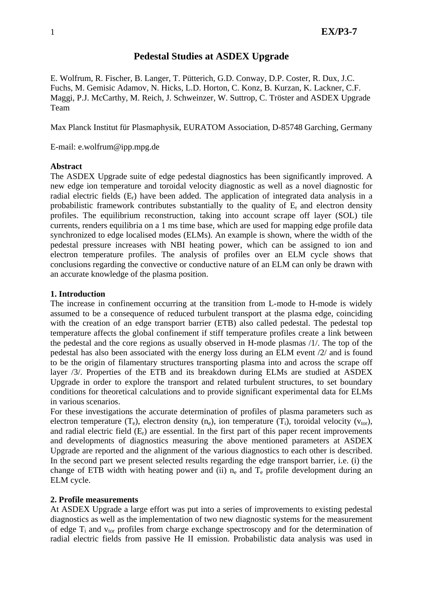# **Pedestal Studies at ASDEX Upgrade**

E. Wolfrum, R. Fischer, B. Langer, T. Pütterich, G.D. Conway, D.P. Coster, R. Dux, J.C. Fuchs, M. Gemisic Adamov, N. Hicks, L.D. Horton, C. Konz, B. Kurzan, K. Lackner, C.F. Maggi, P.J. McCarthy, M. Reich, J. Schweinzer, W. Suttrop, C. Tröster and ASDEX Upgrade Team

Max Planck Institut für Plasmaphysik, EURATOM Association, D-85748 Garching, Germany

E-mail: e.wolfrum@ipp.mpg.de

## **Abstract**

The ASDEX Upgrade suite of edge pedestal diagnostics has been significantly improved. A new edge ion temperature and toroidal velocity diagnostic as well as a novel diagnostic for radial electric fields  $(E_r)$  have been added. The application of integrated data analysis in a probabilistic framework contributes substantially to the quality of  $E_r$  and electron density profiles. The equilibrium reconstruction, taking into account scrape off layer (SOL) tile currents, renders equilibria on a 1 ms time base, which are used for mapping edge profile data synchronized to edge localised modes (ELMs). An example is shown, where the width of the pedestal pressure increases with NBI heating power, which can be assigned to ion and electron temperature profiles. The analysis of profiles over an ELM cycle shows that conclusions regarding the convective or conductive nature of an ELM can only be drawn with an accurate knowledge of the plasma position.

## **1. Introduction**

The increase in confinement occurring at the transition from L-mode to H-mode is widely assumed to be a consequence of reduced turbulent transport at the plasma edge, coinciding with the creation of an edge transport barrier (ETB) also called pedestal. The pedestal top temperature affects the global confinement if stiff temperature profiles create a link between the pedestal and the core regions as usually observed in H-mode plasmas /1/. The top of the pedestal has also been associated with the energy loss during an ELM event /2/ and is found to be the origin of filamentary structures transporting plasma into and across the scrape off layer /3/. Properties of the ETB and its breakdown during ELMs are studied at ASDEX Upgrade in order to explore the transport and related turbulent structures, to set boundary conditions for theoretical calculations and to provide significant experimental data for ELMs in various scenarios.

For these investigations the accurate determination of profiles of plasma parameters such as electron temperature  $(T_e)$ , electron density  $(n_e)$ , ion temperature  $(T_i)$ , toroidal velocity  $(v_{tor})$ , and radial electric field  $(E_r)$  are essential. In the first part of this paper recent improvements and developments of diagnostics measuring the above mentioned parameters at ASDEX Upgrade are reported and the alignment of the various diagnostics to each other is described. In the second part we present selected results regarding the edge transport barrier, i.e. (i) the change of ETB width with heating power and (ii)  $n_e$  and  $T_e$  profile development during an ELM cycle.

## **2. Profile measurements**

At ASDEX Upgrade a large effort was put into a series of improvements to existing pedestal diagnostics as well as the implementation of two new diagnostic systems for the measurement of edge  $T_i$  and  $v_{tor}$  profiles from charge exchange spectroscopy and for the determination of radial electric fields from passive He II emission. Probabilistic data analysis was used in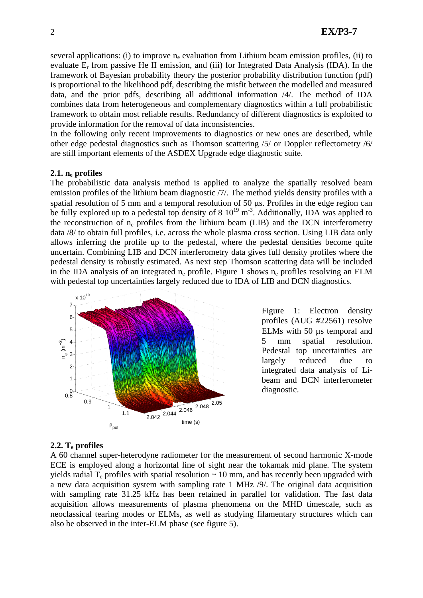several applications: (i) to improve  $n_e$  evaluation from Lithium beam emission profiles, (ii) to evaluate  $E_r$  from passive He II emission, and (iii) for Integrated Data Analysis (IDA). In the framework of Bayesian probability theory the posterior probability distribution function (pdf) is proportional to the likelihood pdf, describing the misfit between the modelled and measured data, and the prior pdfs, describing all additional information /4/. The method of IDA combines data from heterogeneous and complementary diagnostics within a full probabilistic framework to obtain most reliable results. Redundancy of different diagnostics is exploited to provide information for the removal of data inconsistencies.

In the following only recent improvements to diagnostics or new ones are described, while other edge pedestal diagnostics such as Thomson scattering /5/ or Doppler reflectometry /6/ are still important elements of the ASDEX Upgrade edge diagnostic suite.

### **2.1. ne profiles**

The probabilistic data analysis method is applied to analyze the spatially resolved beam emission profiles of the lithium beam diagnostic /7/. The method yields density profiles with a spatial resolution of 5 mm and a temporal resolution of 50 μs. Profiles in the edge region can be fully explored up to a pedestal top density of 8  $10^{19}$  m<sup>-3</sup>. Additionally, IDA was applied to the reconstruction of ne profiles from the lithium beam (LIB) and the DCN interferometry data /8/ to obtain full profiles, i.e. across the whole plasma cross section. Using LIB data only allows inferring the profile up to the pedestal, where the pedestal densities become quite uncertain. Combining LIB and DCN interferometry data gives full density profiles where the pedestal density is robustly estimated. As next step Thomson scattering data will be included in the IDA analysis of an integrated  $n_e$  profile. Figure 1 shows  $n_e$  profiles resolving an ELM with pedestal top uncertainties largely reduced due to IDA of LIB and DCN diagnostics.



Figure 1: Electron density profiles (AUG #22561) resolve ELMs with 50 μs temporal and 5 mm spatial resolution. Pedestal top uncertainties are largely reduced due to integrated data analysis of Libeam and DCN interferometer diagnostic.

#### **2.2. Te profiles**

A 60 channel super-heterodyne radiometer for the measurement of second harmonic X-mode ECE is employed along a horizontal line of sight near the tokamak mid plane. The system yields radial  $T_e$  profiles with spatial resolution  $\sim 10$  mm, and has recently been upgraded with a new data acquisition system with sampling rate 1 MHz /9/. The original data acquisition with sampling rate 31.25 kHz has been retained in parallel for validation. The fast data acquisition allows measurements of plasma phenomena on the MHD timescale, such as neoclassical tearing modes or ELMs, as well as studying filamentary structures which can also be observed in the inter-ELM phase (see figure 5).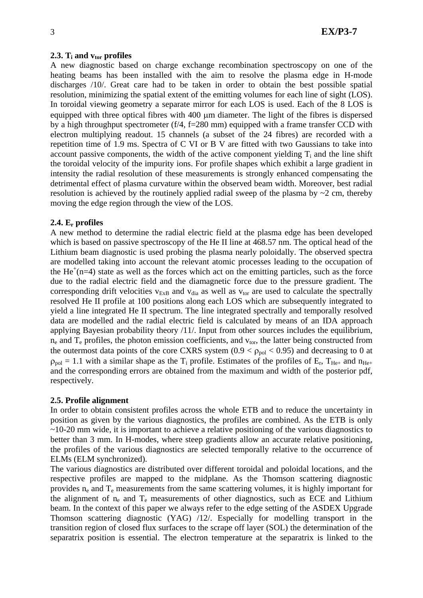#### **2.3.**  $T_i$  and  $v_{tor}$  profiles

A new diagnostic based on charge exchange recombination spectroscopy on one of the heating beams has been installed with the aim to resolve the plasma edge in H-mode discharges /10/. Great care had to be taken in order to obtain the best possible spatial resolution, minimizing the spatial extent of the emitting volumes for each line of sight (LOS). In toroidal viewing geometry a separate mirror for each LOS is used. Each of the 8 LOS is equipped with three optical fibres with 400 μm diameter. The light of the fibres is dispersed by a high throughput spectrometer ( $f/4$ ,  $f=280$  mm) equipped with a frame transfer CCD with electron multiplying readout. 15 channels (a subset of the 24 fibres) are recorded with a repetition time of 1.9 ms. Spectra of C VI or B V are fitted with two Gaussians to take into account passive components, the width of the active component yielding  $T_i$  and the line shift the toroidal velocity of the impurity ions. For profile shapes which exhibit a large gradient in intensity the radial resolution of these measurements is strongly enhanced compensating the detrimental effect of plasma curvature within the observed beam width. Moreover, best radial resolution is achieved by the routinely applied radial sweep of the plasma by  $\sim$ 2 cm, thereby moving the edge region through the view of the LOS.

#### **2.4. Er profiles**

A new method to determine the radial electric field at the plasma edge has been developed which is based on passive spectroscopy of the He II line at 468.57 nm. The optical head of the Lithium beam diagnostic is used probing the plasma nearly poloidally. The observed spectra are modelled taking into account the relevant atomic processes leading to the occupation of the  $He^+(n=4)$  state as well as the forces which act on the emitting particles, such as the force due to the radial electric field and the diamagnetic force due to the pressure gradient. The corresponding drift velocities  $v_{ExB}$  and  $v_{dia}$  as well as  $v_{tor}$  are used to calculate the spectrally resolved He II profile at 100 positions along each LOS which are subsequently integrated to yield a line integrated He II spectrum. The line integrated spectrally and temporally resolved data are modelled and the radial electric field is calculated by means of an IDA approach applying Bayesian probability theory /11/. Input from other sources includes the equilibrium,  $n_e$  and  $T_e$  profiles, the photon emission coefficients, and  $v_{tor}$ , the latter being constructed from the outermost data points of the core CXRS system  $(0.9 < \rho_{pol} < 0.95)$  and decreasing to 0 at  $\rho_{\text{pol}} = 1.1$  with a similar shape as the T<sub>i</sub> profile. Estimates of the profiles of E<sub>r</sub>, T<sub>He+</sub> and  $n_{\text{He+}}$ and the corresponding errors are obtained from the maximum and width of the posterior pdf, respectively.

#### **2.5. Profile alignment**

In order to obtain consistent profiles across the whole ETB and to reduce the uncertainty in position as given by the various diagnostics, the profiles are combined. As the ETB is only  $\sim$ 10-20 mm wide, it is important to achieve a relative positioning of the various diagnostics to better than 3 mm. In H-modes, where steep gradients allow an accurate relative positioning, the profiles of the various diagnostics are selected temporally relative to the occurrence of ELMs (ELM synchronized).

The various diagnostics are distributed over different toroidal and poloidal locations, and the respective profiles are mapped to the midplane. As the Thomson scattering diagnostic provides  $n_e$  and  $T_e$  measurements from the same scattering volumes, it is highly important for the alignment of  $n_e$  and  $T_e$  measurements of other diagnostics, such as ECE and Lithium beam. In the context of this paper we always refer to the edge setting of the ASDEX Upgrade Thomson scattering diagnostic (YAG) /12/. Especially for modelling transport in the transition region of closed flux surfaces to the scrape off layer (SOL) the determination of the separatrix position is essential. The electron temperature at the separatrix is linked to the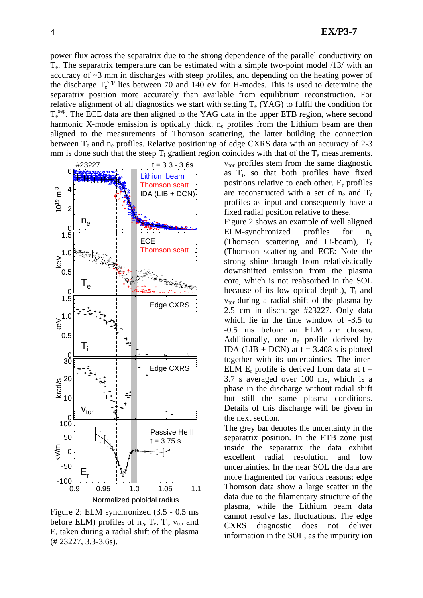power flux across the separatrix due to the strong dependence of the parallel conductivity on Te. The separatrix temperature can be estimated with a simple two-point model /13/ with an accuracy of ~3 mm in discharges with steep profiles, and depending on the heating power of the discharge  $T_e^{sep}$  lies between 70 and 140 eV for H-modes. This is used to determine the separatrix position more accurately than available from equilibrium reconstruction. For relative alignment of all diagnostics we start with setting  $T_e$  (YAG) to fulfil the condition for T<sub>e</sub><sup>sep</sup>. The ECE data are then aligned to the YAG data in the upper ETB region, where second harmonic X-mode emission is optically thick. n<sub>e</sub> profiles from the Lithium beam are then aligned to the measurements of Thomson scattering, the latter building the connection between  $T_e$  and  $n_e$  profiles. Relative positioning of edge CXRS data with an accuracy of 2-3 mm is done such that the steep  $T_i$  gradient region coincides with that of the  $T_e$  measurements.



Figure 2: ELM synchronized (3.5 - 0.5 ms before ELM) profiles of  $n_e$ ,  $T_e$ ,  $T_i$ ,  $v_{tor}$  and Er taken during a radial shift of the plasma (# 23227, 3.3-3.6s).

vtor profiles stem from the same diagnostic as Ti, so that both profiles have fixed positions relative to each other. Er profiles are reconstructed with a set of  $n_e$  and  $T_e$ profiles as input and consequently have a fixed radial position relative to these.

Figure 2 shows an example of well aligned ELM-synchronized profiles for ne (Thomson scattering and Li-beam), Te (Thomson scattering and ECE: Note the strong shine-through from relativistically downshifted emission from the plasma core, which is not reabsorbed in the SOL because of its low optical depth.),  $T_i$  and  $v_{\text{tor}}$  during a radial shift of the plasma by 2.5 cm in discharge #23227. Only data which lie in the time window of -3.5 to -0.5 ms before an ELM are chosen. Additionally, one  $n_e$  profile derived by IDA (LIB + DCN) at  $t = 3.408$  s is plotted together with its uncertainties. The inter-ELM  $E_r$  profile is derived from data at t = 3.7 s averaged over 100 ms, which is a phase in the discharge without radial shift but still the same plasma conditions. Details of this discharge will be given in the next section.

The grey bar denotes the uncertainty in the separatrix position. In the ETB zone just inside the separatrix the data exhibit excellent radial resolution and low uncertainties. In the near SOL the data are more fragmented for various reasons: edge Thomson data show a large scatter in the data due to the filamentary structure of the plasma, while the Lithium beam data cannot resolve fast fluctuations. The edge CXRS diagnostic does not deliver information in the SOL, as the impurity ion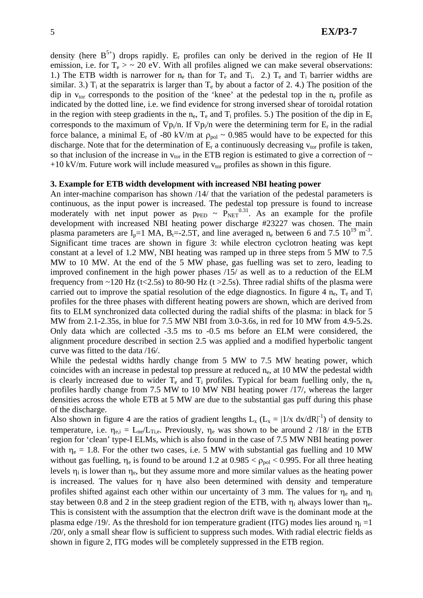density (here  $B^{5+}$ ) drops rapidly. E<sub>r</sub> profiles can only be derived in the region of He II emission, i.e. for  $T_e > \sim 20$  eV. With all profiles aligned we can make several observations: 1.) The ETB width is narrower for  $n_e$  than for  $T_e$  and  $T_i$ . 2.)  $T_e$  and  $T_i$  barrier widths are similar. 3.)  $T_i$  at the separatrix is larger than  $T_e$  by about a factor of 2.4.) The position of the dip in  $v_{tor}$  corresponds to the position of the 'knee' at the pedestal top in the  $n_e$  profile as indicated by the dotted line, i.e. we find evidence for strong inversed shear of toroidal rotation in the region with steep gradients in the n<sub>e</sub>,  $T_e$  and  $T_i$  profiles. 5.) The position of the dip in  $E_r$ corresponds to the maximum of  $\nabla p_i/n$ . If  $\nabla p_i/n$  were the determining term for E<sub>r</sub> in the radial force balance, a minimal  $E_r$  of -80 kV/m at  $\rho_{pol} \sim 0.985$  would have to be expected for this discharge. Note that for the determination of  $E_r$  a continuously decreasing  $v_{tor}$  profile is taken, so that inclusion of the increase in  $v_{tor}$  in the ETB region is estimated to give a correction of  $\sim$ +10 kV/m. Future work will include measured  $v_{tor}$  profiles as shown in this figure.

### **3. Example for ETB width development with increased NBI heating power**

An inter-machine comparison has shown /14/ that the variation of the pedestal parameters is continuous, as the input power is increased. The pedestal top pressure is found to increase moderately with net input power as  $p_{\text{PED}} \sim \overline{P_{\text{NET}}}^{0.31}$ . As an example for the profile development with increased NBI heating power discharge #23227 was chosen. The main plasma parameters are  $I_p=1$  MA,  $B_f=2.5T$ , and line averaged n<sub>e</sub> between 6 and 7.5 10<sup>19</sup> m<sup>-3</sup>. Significant time traces are shown in figure 3: while electron cyclotron heating was kept constant at a level of 1.2 MW, NBI heating was ramped up in three steps from 5 MW to 7.5 MW to 10 MW. At the end of the 5 MW phase, gas fuelling was set to zero, leading to improved confinement in the high power phases /15/ as well as to a reduction of the ELM frequency from  $\sim$ 120 Hz (t<2.5s) to 80-90 Hz (t >2.5s). Three radial shifts of the plasma were carried out to improve the spatial resolution of the edge diagnostics. In figure 4  $n_e$ ,  $T_e$  and  $T_i$ profiles for the three phases with different heating powers are shown, which are derived from fits to ELM synchronized data collected during the radial shifts of the plasma: in black for 5 MW from 2.1-2.35s, in blue for 7.5 MW NBI from 3.0-3.6s, in red for 10 MW from 4.9-5.2s. Only data which are collected -3.5 ms to -0.5 ms before an ELM were considered, the alignment procedure described in section 2.5 was applied and a modified hyperbolic tangent curve was fitted to the data /16/.

While the pedestal widths hardly change from 5 MW to 7.5 MW heating power, which coincides with an increase in pedestal top pressure at reduced  $n_e$ , at 10 MW the pedestal width is clearly increased due to wider  $T_e$  and  $T_i$  profiles. Typical for beam fuelling only, the n<sub>e</sub> profiles hardly change from 7.5 MW to 10 MW NBI heating power /17/, whereas the larger densities across the whole ETB at 5 MW are due to the substantial gas puff during this phase of the discharge.

Also shown in figure 4 are the ratios of gradient lengths  $L_x$  ( $L_x = |1/x dx/dR|^{-1}$ ) of density to temperature, i.e.  $\eta_{e,i} = L_{ne}/L_{Ti,e}$ . Previously,  $\eta_e$  was shown to be around 2 /18/ in the ETB region for 'clean' type-I ELMs, which is also found in the case of 7.5 MW NBI heating power with  $\eta_e = 1.8$ . For the other two cases, i.e. 5 MW with substantial gas fuelling and 10 MW without gas fuelling,  $\eta_e$  is found to be around 1.2 at 0.985 <  $\rho_{pol}$  < 0.995. For all three heating levels  $\eta_i$  is lower than  $\eta_e$ , but they assume more and more similar values as the heating power is increased. The values for η have also been determined with density and temperature profiles shifted against each other within our uncertainty of 3 mm. The values for  $\eta_e$  and  $\eta_i$ stay between 0.8 and 2 in the steep gradient region of the ETB, with  $\eta_i$  always lower than  $\eta_e$ . This is consistent with the assumption that the electron drift wave is the dominant mode at the plasma edge /19/. As the threshold for ion temperature gradient (ITG) modes lies around  $\eta_i = 1$ /20/, only a small shear flow is sufficient to suppress such modes. With radial electric fields as shown in figure 2, ITG modes will be completely suppressed in the ETB region.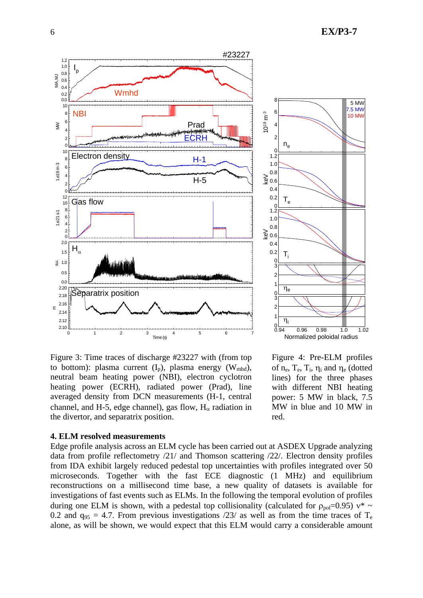



Figure 3: Time traces of discharge #23227 with (from top to bottom): plasma current  $(I_p)$ , plasma energy  $(W_{mhd})$ , neutral beam heating power (NBI), electron cyclotron heating power (ECRH), radiated power (Prad), line averaged density from DCN measurements (H-1, central channel, and H-5, edge channel), gas flow,  $H_{\alpha}$  radiation in the divertor, and separatrix position.



#### **4. ELM resolved measurements**

Edge profile analysis across an ELM cycle has been carried out at ASDEX Upgrade analyzing data from profile reflectometry /21/ and Thomson scattering /22/. Electron density profiles from IDA exhibit largely reduced pedestal top uncertainties with profiles integrated over 50 microseconds. Together with the fast ECE diagnostic (1 MHz) and equilibrium reconstructions on a millisecond time base, a new quality of datasets is available for investigations of fast events such as ELMs. In the following the temporal evolution of profiles during one ELM is shown, with a pedestal top collisionality (calculated for  $\rho_{\text{pol}}=0.95$ )  $v^* \sim$ 0.2 and  $q_{95} = 4.7$ . From previous investigations /23/ as well as from the time traces of T<sub>e</sub> alone, as will be shown, we would expect that this ELM would carry a considerable amount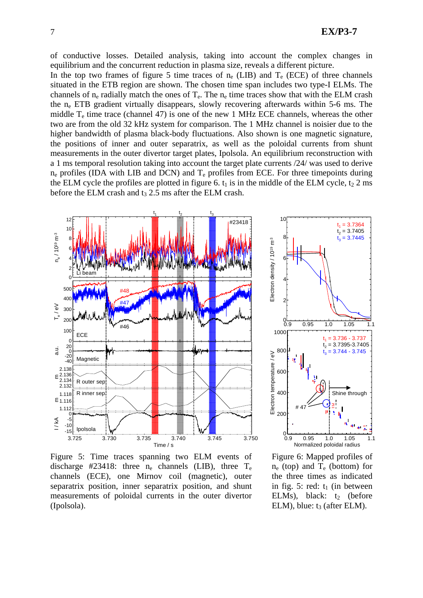of conductive losses. Detailed analysis, taking into account the complex changes in equilibrium and the concurrent reduction in plasma size, reveals a different picture.

In the top two frames of figure 5 time traces of  $n_e$  (LIB) and  $T_e$  (ECE) of three channels situated in the ETB region are shown. The chosen time span includes two type-I ELMs. The channels of  $n_e$  radially match the ones of  $T_e$ . The  $n_e$  time traces show that with the ELM crash the ne ETB gradient virtually disappears, slowly recovering afterwards within 5-6 ms. The middle  $T_e$  time trace (channel 47) is one of the new 1 MHz ECE channels, whereas the other two are from the old 32 kHz system for comparison. The 1 MHz channel is noisier due to the higher bandwidth of plasma black-body fluctuations. Also shown is one magnetic signature, the positions of inner and outer separatrix, as well as the poloidal currents from shunt measurements in the outer divertor target plates, Ipolsola. An equilibrium reconstruction with a 1 ms temporal resolution taking into account the target plate currents /24/ was used to derive  $n_e$  profiles (IDA with LIB and DCN) and  $T_e$  profiles from ECE. For three timepoints during the ELM cycle the profiles are plotted in figure 6.  $t_1$  is in the middle of the ELM cycle,  $t_2$  2 ms before the ELM crash and  $t_3$  2.5 ms after the ELM crash.



Figure 5: Time traces spanning two ELM events of discharge #23418: three  $n_e$  channels (LIB), three  $T_e$ channels (ECE), one Mirnov coil (magnetic), outer separatrix position, inner separatrix position, and shunt measurements of poloidal currents in the outer divertor (Ipolsola).



Figure 6: Mapped profiles of  $n_e$  (top) and  $T_e$  (bottom) for the three times as indicated in fig. 5: red:  $t_1$  (in between ELMs), black:  $t_2$  (before ELM), blue:  $t_3$  (after ELM).